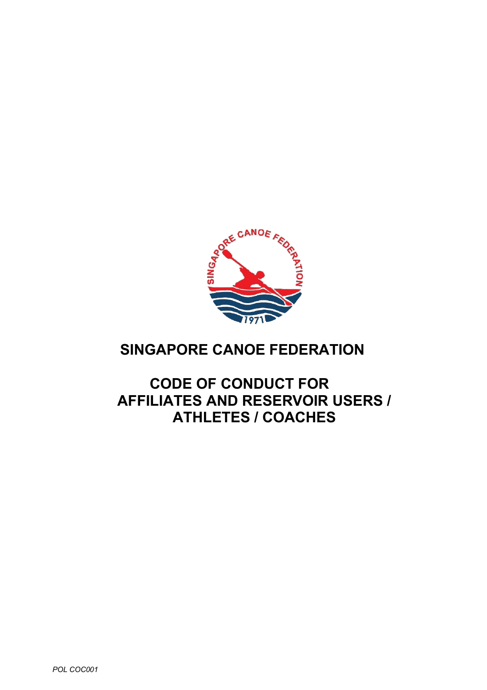

# **SINGAPORE CANOE FEDERATION**

## **CODE OF CONDUCT FOR AFFILIATES AND RESERVOIR USERS / ATHLETES / COACHES**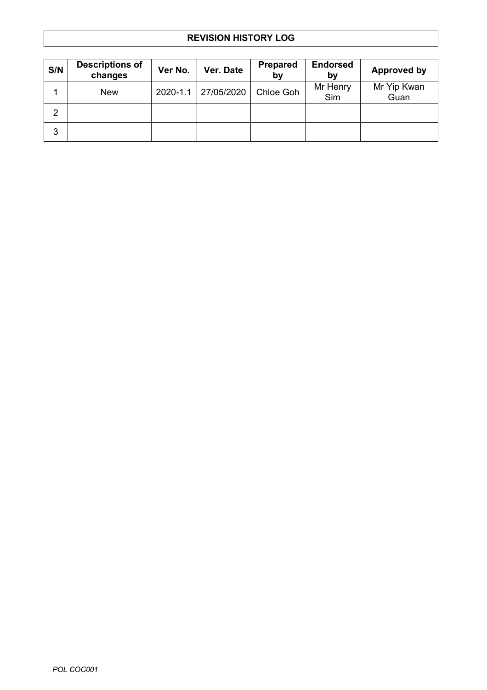## **REVISION HISTORY LOG**

| S/N            | <b>Descriptions of</b><br>changes | Ver No.      | Ver. Date  | <b>Prepared</b><br>by | <b>Endorsed</b><br>b٧ | Approved by         |
|----------------|-----------------------------------|--------------|------------|-----------------------|-----------------------|---------------------|
| 4              | <b>New</b>                        | $2020 - 1.1$ | 27/05/2020 | Chloe Goh             | Mr Henry<br>Sim       | Mr Yip Kwan<br>Guan |
| $\overline{2}$ |                                   |              |            |                       |                       |                     |
| 3              |                                   |              |            |                       |                       |                     |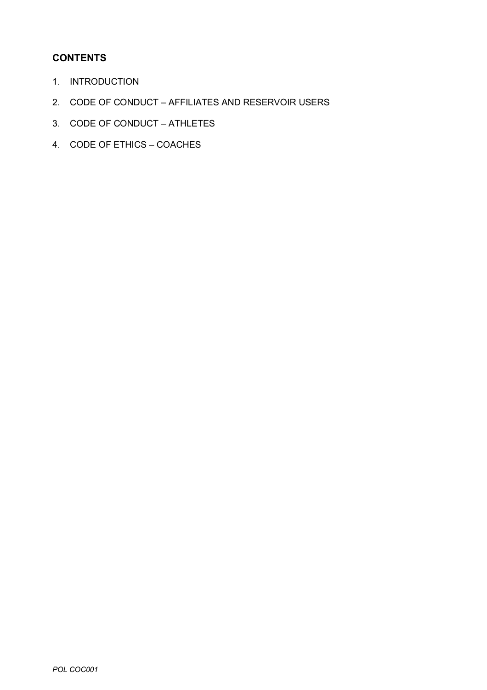## **CONTENTS**

- 1. INTRODUCTION
- 2. CODE OF CONDUCT AFFILIATES AND RESERVOIR USERS
- 3. CODE OF CONDUCT ATHLETES
- 4. CODE OF ETHICS COACHES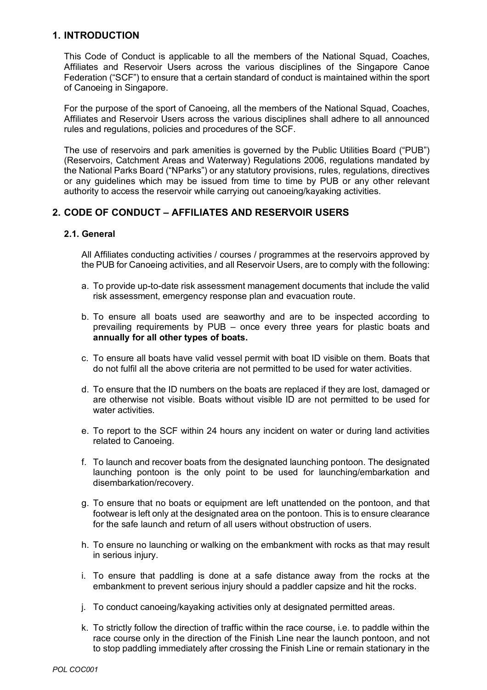## **1. INTRODUCTION**

This Code of Conduct is applicable to all the members of the National Squad, Coaches, Affiliates and Reservoir Users across the various disciplines of the Singapore Canoe Federation ("SCF") to ensure that a certain standard of conduct is maintained within the sport of Canoeing in Singapore.

For the purpose of the sport of Canoeing, all the members of the National Squad, Coaches, Affiliates and Reservoir Users across the various disciplines shall adhere to all announced rules and regulations, policies and procedures of the SCF.

The use of reservoirs and park amenities is governed by the Public Utilities Board ("PUB") (Reservoirs, Catchment Areas and Waterway) Regulations 2006, regulations mandated by the National Parks Board ("NParks") or any statutory provisions, rules, regulations, directives or any guidelines which may be issued from time to time by PUB or any other relevant authority to access the reservoir while carrying out canoeing/kayaking activities.

## **2. CODE OF CONDUCT – AFFILIATES AND RESERVOIR USERS**

#### **2.1. General**

All Affiliates conducting activities / courses / programmes at the reservoirs approved by the PUB for Canoeing activities, and all Reservoir Users, are to comply with the following:

- a. To provide up-to-date risk assessment management documents that include the valid risk assessment, emergency response plan and evacuation route.
- b. To ensure all boats used are seaworthy and are to be inspected according to prevailing requirements by PUB – once every three years for plastic boats and **annually for all other types of boats.**
- c. To ensure all boats have valid vessel permit with boat ID visible on them. Boats that do not fulfil all the above criteria are not permitted to be used for water activities.
- d. To ensure that the ID numbers on the boats are replaced if they are lost, damaged or are otherwise not visible. Boats without visible ID are not permitted to be used for water activities.
- e. To report to the SCF within 24 hours any incident on water or during land activities related to Canoeing.
- f. To launch and recover boats from the designated launching pontoon. The designated launching pontoon is the only point to be used for launching/embarkation and disembarkation/recovery.
- g. To ensure that no boats or equipment are left unattended on the pontoon, and that footwear is left only at the designated area on the pontoon. This is to ensure clearance for the safe launch and return of all users without obstruction of users.
- h. To ensure no launching or walking on the embankment with rocks as that may result in serious injury.
- i. To ensure that paddling is done at a safe distance away from the rocks at the embankment to prevent serious injury should a paddler capsize and hit the rocks.
- j. To conduct canoeing/kayaking activities only at designated permitted areas.
- k. To strictly follow the direction of traffic within the race course, i.e. to paddle within the race course only in the direction of the Finish Line near the launch pontoon, and not to stop paddling immediately after crossing the Finish Line or remain stationary in the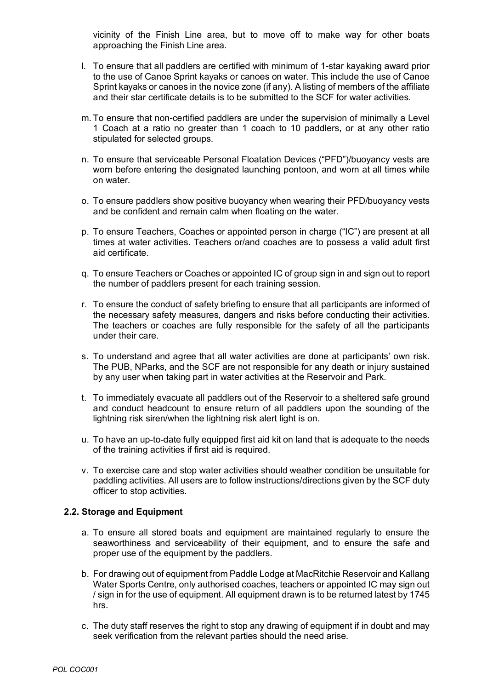vicinity of the Finish Line area, but to move off to make way for other boats approaching the Finish Line area.

- l. To ensure that all paddlers are certified with minimum of 1-star kayaking award prior to the use of Canoe Sprint kayaks or canoes on water. This include the use of Canoe Sprint kayaks or canoes in the novice zone (if any). A listing of members of the affiliate and their star certificate details is to be submitted to the SCF for water activities.
- m. To ensure that non-certified paddlers are under the supervision of minimally a Level 1 Coach at a ratio no greater than 1 coach to 10 paddlers, or at any other ratio stipulated for selected groups.
- n. To ensure that serviceable Personal Floatation Devices ("PFD")/buoyancy vests are worn before entering the designated launching pontoon, and worn at all times while on water.
- o. To ensure paddlers show positive buoyancy when wearing their PFD/buoyancy vests and be confident and remain calm when floating on the water.
- p. To ensure Teachers, Coaches or appointed person in charge ("IC") are present at all times at water activities. Teachers or/and coaches are to possess a valid adult first aid certificate.
- q. To ensure Teachers or Coaches or appointed IC of group sign in and sign out to report the number of paddlers present for each training session.
- r. To ensure the conduct of safety briefing to ensure that all participants are informed of the necessary safety measures, dangers and risks before conducting their activities. The teachers or coaches are fully responsible for the safety of all the participants under their care.
- s. To understand and agree that all water activities are done at participants' own risk. The PUB, NParks, and the SCF are not responsible for any death or injury sustained by any user when taking part in water activities at the Reservoir and Park.
- t. To immediately evacuate all paddlers out of the Reservoir to a sheltered safe ground and conduct headcount to ensure return of all paddlers upon the sounding of the lightning risk siren/when the lightning risk alert light is on.
- u. To have an up-to-date fully equipped first aid kit on land that is adequate to the needs of the training activities if first aid is required.
- v. To exercise care and stop water activities should weather condition be unsuitable for paddling activities. All users are to follow instructions/directions given by the SCF duty officer to stop activities.

#### **2.2. Storage and Equipment**

- a. To ensure all stored boats and equipment are maintained regularly to ensure the seaworthiness and serviceability of their equipment, and to ensure the safe and proper use of the equipment by the paddlers.
- b. For drawing out of equipment from Paddle Lodge at MacRitchie Reservoir and Kallang Water Sports Centre, only authorised coaches, teachers or appointed IC may sign out / sign in for the use of equipment. All equipment drawn is to be returned latest by 1745 hrs.
- c. The duty staff reserves the right to stop any drawing of equipment if in doubt and may seek verification from the relevant parties should the need arise.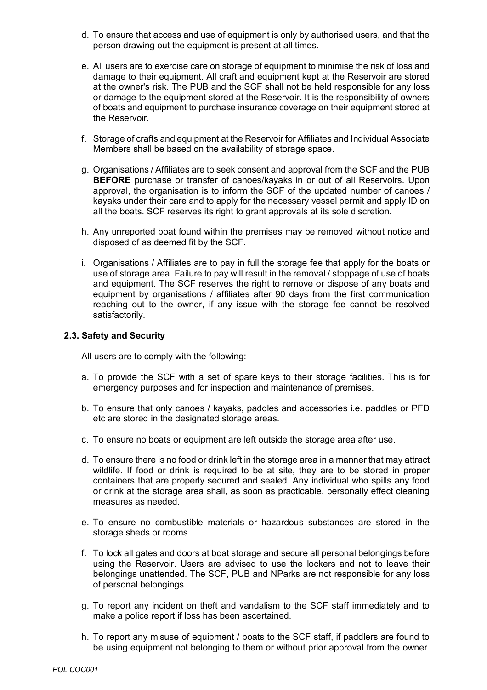- d. To ensure that access and use of equipment is only by authorised users, and that the person drawing out the equipment is present at all times.
- e. All users are to exercise care on storage of equipment to minimise the risk of loss and damage to their equipment. All craft and equipment kept at the Reservoir are stored at the owner's risk. The PUB and the SCF shall not be held responsible for any loss or damage to the equipment stored at the Reservoir. It is the responsibility of owners of boats and equipment to purchase insurance coverage on their equipment stored at the Reservoir.
- f. Storage of crafts and equipment at the Reservoir for Affiliates and Individual Associate Members shall be based on the availability of storage space.
- g. Organisations / Affiliates are to seek consent and approval from the SCF and the PUB **BEFORE** purchase or transfer of canoes/kayaks in or out of all Reservoirs. Upon approval, the organisation is to inform the SCF of the updated number of canoes / kayaks under their care and to apply for the necessary vessel permit and apply ID on all the boats. SCF reserves its right to grant approvals at its sole discretion.
- h. Any unreported boat found within the premises may be removed without notice and disposed of as deemed fit by the SCF.
- i. Organisations / Affiliates are to pay in full the storage fee that apply for the boats or use of storage area. Failure to pay will result in the removal / stoppage of use of boats and equipment. The SCF reserves the right to remove or dispose of any boats and equipment by organisations / affiliates after 90 days from the first communication reaching out to the owner, if any issue with the storage fee cannot be resolved satisfactorily.

#### **2.3. Safety and Security**

All users are to comply with the following:

- a. To provide the SCF with a set of spare keys to their storage facilities. This is for emergency purposes and for inspection and maintenance of premises.
- b. To ensure that only canoes / kayaks, paddles and accessories i.e. paddles or PFD etc are stored in the designated storage areas.
- c. To ensure no boats or equipment are left outside the storage area after use.
- d. To ensure there is no food or drink left in the storage area in a manner that may attract wildlife. If food or drink is required to be at site, they are to be stored in proper containers that are properly secured and sealed. Any individual who spills any food or drink at the storage area shall, as soon as practicable, personally effect cleaning measures as needed.
- e. To ensure no combustible materials or hazardous substances are stored in the storage sheds or rooms.
- f. To lock all gates and doors at boat storage and secure all personal belongings before using the Reservoir. Users are advised to use the lockers and not to leave their belongings unattended. The SCF, PUB and NParks are not responsible for any loss of personal belongings.
- g. To report any incident on theft and vandalism to the SCF staff immediately and to make a police report if loss has been ascertained.
- h. To report any misuse of equipment / boats to the SCF staff, if paddlers are found to be using equipment not belonging to them or without prior approval from the owner.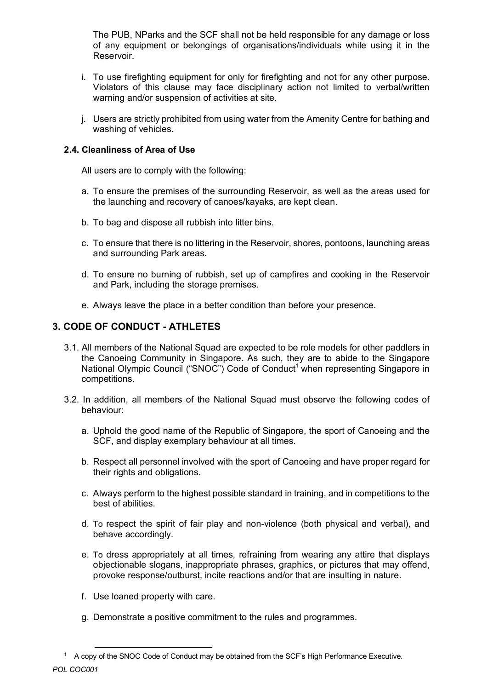The PUB, NParks and the SCF shall not be held responsible for any damage or loss of any equipment or belongings of organisations/individuals while using it in the Reservoir.

- i. To use firefighting equipment for only for firefighting and not for any other purpose. Violators of this clause may face disciplinary action not limited to verbal/written warning and/or suspension of activities at site.
- j. Users are strictly prohibited from using water from the Amenity Centre for bathing and washing of vehicles.

#### **2.4. Cleanliness of Area of Use**

All users are to comply with the following:

- a. To ensure the premises of the surrounding Reservoir, as well as the areas used for the launching and recovery of canoes/kayaks, are kept clean.
- b. To bag and dispose all rubbish into litter bins.
- c. To ensure that there is no littering in the Reservoir, shores, pontoons, launching areas and surrounding Park areas.
- d. To ensure no burning of rubbish, set up of campfires and cooking in the Reservoir and Park, including the storage premises.
- e. Always leave the place in a better condition than before your presence.

### **3. CODE OF CONDUCT - ATHLETES**

- 3.1. All members of the National Squad are expected to be role models for other paddlers in the Canoeing Community in Singapore. As such, they are to abide to the Singapore National Olympic Council ("SNOC") Code of Conduct<sup>1</sup> when representing Singapore in competitions.
- 3.2. In addition, all members of the National Squad must observe the following codes of behaviour:
	- a. Uphold the good name of the Republic of Singapore, the sport of Canoeing and the SCF, and display exemplary behaviour at all times.
	- b. Respect all personnel involved with the sport of Canoeing and have proper regard for their rights and obligations.
	- c. Always perform to the highest possible standard in training, and in competitions to the best of abilities.
	- d. To respect the spirit of fair play and non-violence (both physical and verbal), and behave accordingly.
	- e. To dress appropriately at all times, refraining from wearing any attire that displays objectionable slogans, inappropriate phrases, graphics, or pictures that may offend, provoke response/outburst, incite reactions and/or that are insulting in nature.
	- f. Use loaned property with care.
	- g. Demonstrate a positive commitment to the rules and programmes.

*POL COC001* 1 A copy of the SNOC Code of Conduct may be obtained from the SCF's High Performance Executive.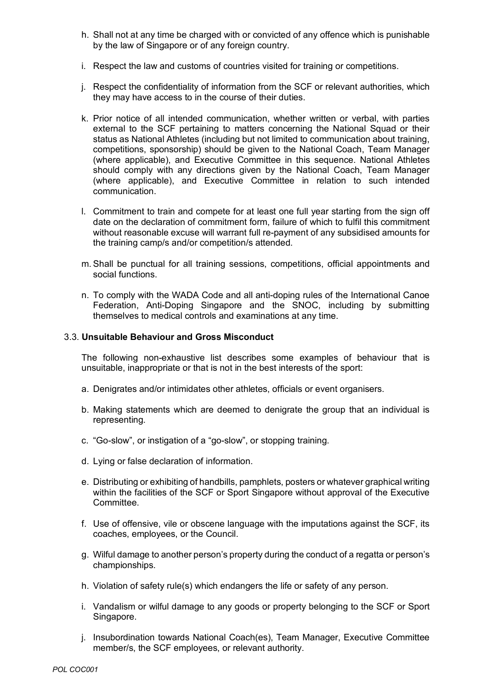- h. Shall not at any time be charged with or convicted of any offence which is punishable by the law of Singapore or of any foreign country.
- i. Respect the law and customs of countries visited for training or competitions.
- j. Respect the confidentiality of information from the SCF or relevant authorities, which they may have access to in the course of their duties.
- k. Prior notice of all intended communication, whether written or verbal, with parties external to the SCF pertaining to matters concerning the National Squad or their status as National Athletes (including but not limited to communication about training, competitions, sponsorship) should be given to the National Coach, Team Manager (where applicable), and Executive Committee in this sequence. National Athletes should comply with any directions given by the National Coach, Team Manager (where applicable), and Executive Committee in relation to such intended communication.
- l. Commitment to train and compete for at least one full year starting from the sign off date on the declaration of commitment form, failure of which to fulfil this commitment without reasonable excuse will warrant full re-payment of any subsidised amounts for the training camp/s and/or competition/s attended.
- m. Shall be punctual for all training sessions, competitions, official appointments and social functions.
- n. To comply with the WADA Code and all anti-doping rules of the International Canoe Federation, Anti-Doping Singapore and the SNOC, including by submitting themselves to medical controls and examinations at any time.

#### 3.3. **Unsuitable Behaviour and Gross Misconduct**

The following non-exhaustive list describes some examples of behaviour that is unsuitable, inappropriate or that is not in the best interests of the sport:

- a. Denigrates and/or intimidates other athletes, officials or event organisers.
- b. Making statements which are deemed to denigrate the group that an individual is representing.
- c. "Go-slow", or instigation of a "go-slow", or stopping training.
- d. Lying or false declaration of information.
- e. Distributing or exhibiting of handbills, pamphlets, posters or whatever graphical writing within the facilities of the SCF or Sport Singapore without approval of the Executive Committee.
- f. Use of offensive, vile or obscene language with the imputations against the SCF, its coaches, employees, or the Council.
- g. Wilful damage to another person's property during the conduct of a regatta or person's championships.
- h. Violation of safety rule(s) which endangers the life or safety of any person.
- i. Vandalism or wilful damage to any goods or property belonging to the SCF or Sport Singapore.
- j. Insubordination towards National Coach(es), Team Manager, Executive Committee member/s, the SCF employees, or relevant authority.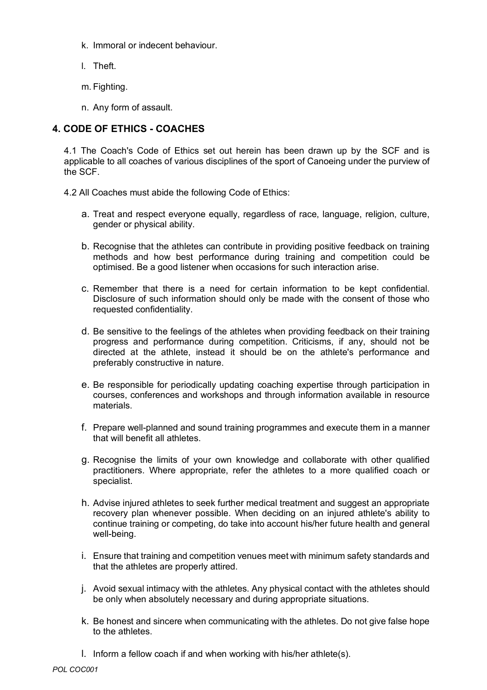- k. Immoral or indecent behaviour.
- l. Theft.
- m. Fighting.
- n. Any form of assault.

## **4. CODE OF ETHICS - COACHES**

4.1 The Coach's Code of Ethics set out herein has been drawn up by the SCF and is applicable to all coaches of various disciplines of the sport of Canoeing under the purview of the SCF.

4.2 All Coaches must abide the following Code of Ethics:

- a. Treat and respect everyone equally, regardless of race, language, religion, culture, gender or physical ability.
- b. Recognise that the athletes can contribute in providing positive feedback on training methods and how best performance during training and competition could be optimised. Be a good listener when occasions for such interaction arise.
- c. Remember that there is a need for certain information to be kept confidential. Disclosure of such information should only be made with the consent of those who requested confidentiality.
- d. Be sensitive to the feelings of the athletes when providing feedback on their training progress and performance during competition. Criticisms, if any, should not be directed at the athlete, instead it should be on the athlete's performance and preferably constructive in nature.
- e. Be responsible for periodically updating coaching expertise through participation in courses, conferences and workshops and through information available in resource materials.
- f. Prepare well-planned and sound training programmes and execute them in a manner that will benefit all athletes.
- g. Recognise the limits of your own knowledge and collaborate with other qualified practitioners. Where appropriate, refer the athletes to a more qualified coach or specialist.
- h. Advise injured athletes to seek further medical treatment and suggest an appropriate recovery plan whenever possible. When deciding on an injured athlete's ability to continue training or competing, do take into account his/her future health and general well-being.
- i. Ensure that training and competition venues meet with minimum safety standards and that the athletes are properly attired.
- j. Avoid sexual intimacy with the athletes. Any physical contact with the athletes should be only when absolutely necessary and during appropriate situations.
- k. Be honest and sincere when communicating with the athletes. Do not give false hope to the athletes.
- l. Inform a fellow coach if and when working with his/her athlete(s).